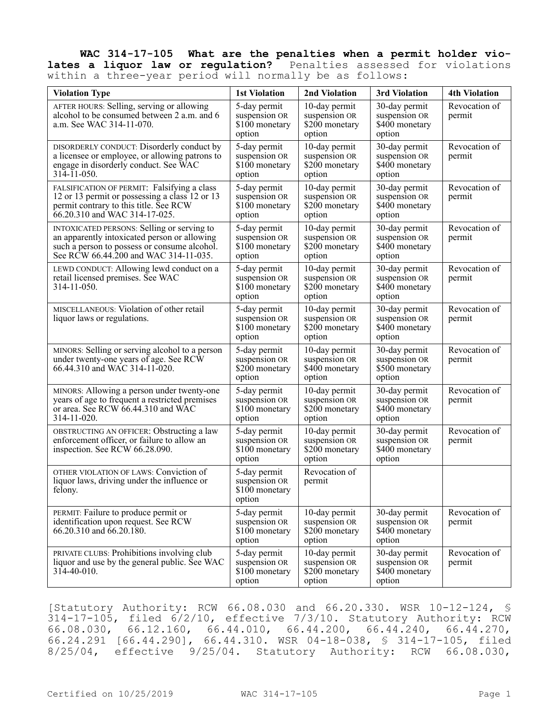## **WAC 314-17-105 What are the penalties when a permit holder vio**lates a liquor law or regulation? Penalties assessed for violations within a three-year period will normally be as follows:

| <b>Violation Type</b>                                                                                                                                                               | <b>1st Violation</b>                                       | 2nd Violation                                               | 3rd Violation                                               | <b>4th Violation</b>    |
|-------------------------------------------------------------------------------------------------------------------------------------------------------------------------------------|------------------------------------------------------------|-------------------------------------------------------------|-------------------------------------------------------------|-------------------------|
| AFTER HOURS: Selling, serving or allowing<br>alcohol to be consumed between 2 a.m. and 6<br>a.m. See WAC 314-11-070.                                                                | 5-day permit<br>suspension OR<br>\$100 monetary<br>option  | 10-day permit<br>suspension OR<br>\$200 monetary<br>option  | 30-day permit<br>suspension OR<br>\$400 monetary<br>option  | Revocation of<br>permit |
| DISORDERLY CONDUCT: Disorderly conduct by<br>a licensee or employee, or allowing patrons to<br>engage in disorderly conduct. See WAC<br>$314 - 11 - 050$ .                          | 5-day permit<br>suspension OR<br>\$100 monetary<br>option  | 10-day permit<br>suspension OR<br>\$200 monetary<br>option  | 30-day permit<br>suspension OR<br>\$400 monetary<br>option  | Revocation of<br>permit |
| FALSIFICATION OF PERMIT: Falsifying a class<br>12 or 13 permit or possessing a class 12 or 13<br>permit contrary to this title. See RCW<br>66.20.310 and WAC 314-17-025.            | 5-day permit<br>suspension OR<br>\$100 monetary<br>option  | 10-day permit<br>suspension OR<br>\$200 monetary<br>option  | 30-day permit<br>suspension OR<br>\$400 monetary<br>option  | Revocation of<br>permit |
| INTOXICATED PERSONS: Selling or serving to<br>an apparently intoxicated person or allowing<br>such a person to possess or consume alcohol.<br>See RCW 66.44.200 and WAC 314-11-035. | 5-day permit<br>suspension OR<br>$$100$ monetary<br>option | 10-day permit<br>suspension OR<br>\$200 monetary<br>option  | 30-day permit<br>suspension OR<br>\$400 monetary<br>option  | Revocation of<br>permit |
| LEWD CONDUCT: Allowing lewd conduct on a<br>retail licensed premises. See WAC<br>314-11-050.                                                                                        | 5-day permit<br>suspension OR<br>\$100 monetary<br>option  | 10-day permit<br>suspension OR<br>\$200 monetary<br>option  | 30-day permit<br>suspension OR<br>\$400 monetary<br>option  | Revocation of<br>permit |
| MISCELLANEOUS: Violation of other retail<br>liquor laws or regulations.                                                                                                             | 5-day permit<br>suspension OR<br>\$100 monetary<br>option  | 10-day permit<br>suspension OR<br>\$200 monetary<br>option  | 30-day permit<br>suspension OR<br>$$400$ monetary<br>option | Revocation of<br>permit |
| MINORS: Selling or serving alcohol to a person<br>under twenty-one years of age. See RCW<br>66.44.310 and WAC 314-11-020.                                                           | 5-day permit<br>suspension OR<br>\$200 monetary<br>option  | 10-day permit<br>suspension OR<br>\$400 monetary<br>option  | 30-day permit<br>suspension OR<br>\$500 monetary<br>option  | Revocation of<br>permit |
| MINORS: Allowing a person under twenty-one<br>years of age to frequent a restricted premises<br>or area. See RCW 66.44.310 and WAC<br>314-11-020.                                   | 5-day permit<br>suspension OR<br>\$100 monetary<br>option  | 10-day permit<br>suspension OR<br>\$200 monetary<br>option  | 30-day permit<br>suspension OR<br>\$400 monetary<br>option  | Revocation of<br>permit |
| OBSTRUCTING AN OFFICER: Obstructing a law<br>enforcement officer, or failure to allow an<br>inspection. See RCW 66.28.090.                                                          | 5-day permit<br>suspension OR<br>\$100 monetary<br>option  | 10-day permit<br>suspension OR<br>\$200 monetary<br>option  | 30-day permit<br>suspension OR<br>\$400 monetary<br>option  | Revocation of<br>permit |
| OTHER VIOLATION OF LAWS: Conviction of<br>liquor laws, driving under the influence or<br>felony.                                                                                    | 5-day permit<br>suspension OR<br>\$100 monetary<br>option  | Revocation of<br>permit                                     |                                                             |                         |
| PERMIT: Failure to produce permit or<br>identification upon request. See RCW<br>66.20.310 and 66.20.180.                                                                            | 5-day permit<br>suspension OR<br>$$100$ monetary<br>option | 10-day permit<br>suspension OR<br>$$200$ monetary<br>option | 30-day permit<br>suspension OR<br>\$400 monetary<br>option  | Revocation of<br>permit |
| PRIVATE CLUBS: Prohibitions involving club<br>liquor and use by the general public. See WAC<br>314-40-010.                                                                          | 5-day permit<br>suspension OR<br>\$100 monetary<br>option  | 10-day permit<br>suspension OR<br>\$200 monetary<br>option  | 30-day permit<br>suspension OR<br>\$400 monetary<br>option  | Revocation of<br>permit |

[Statutory Authority: RCW 66.08.030 and 66.20.330. WSR 10-12-124, § 314-17-105, filed 6/2/10, effective 7/3/10. Statutory Authority: RCW 66.08.030, 66.12.160, 66.44.010, 66.44.200, 66.44.240, 66.44.270, 66.24.291 [66.44.290], 66.44.310. WSR 04-18-038, § 314-17-105, filed 8/25/04, effective 9/25/04. Statutory Authority: RCW 66.08.030,